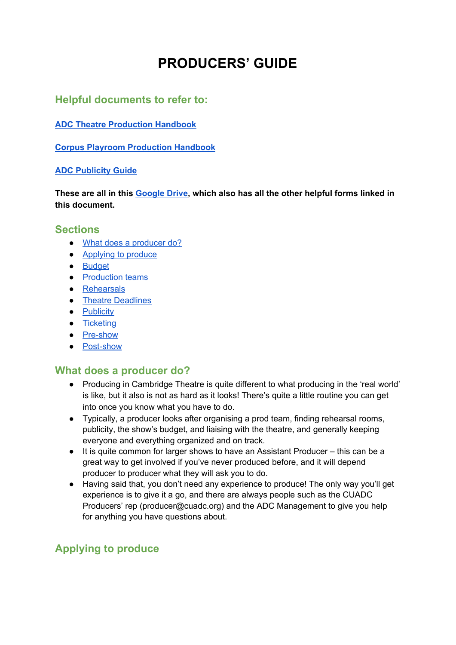# **PRODUCERS' GUIDE**

### **Helpful documents to refer to:**

**ADC Theatre [Production](https://www.adctheatre.com/media/2681/adc-theatre-production-handbook.pdf) Handbook**

**Corpus Playroom [Production](https://www.adctheatre.com/media/2682/corpus-playroom-production-handbook.pdf) Handbook**

#### **ADC [Publicity](https://www.adctheatre.com/media/2697/publicity-guide.pdf) Guide**

**These are all in this [Google](https://drive.google.com/open?id=1dKfLHqeyxrRak2kfeMjWb1dCPtLM5CcZ) Drive, which also has all the other helpful forms linked in this document.**

#### **Sections**

- What does a [producer](#page-0-0) do?
- [Applying](#page-0-1) to produce
- [Budget](#page-1-0)
- [Production](#page-3-0) teams
- [Rehearsals](#page-3-1)
- Theatre [Deadlines](#page-4-0)
- [Publicity](#page-5-0)
- [Ticketing](#page-8-0)
- [Pre-show](#page-9-0)
- [Post-show](#page-10-0)

### <span id="page-0-0"></span>**What does a producer do?**

- Producing in Cambridge Theatre is quite different to what producing in the 'real world' is like, but it also is not as hard as it looks! There's quite a little routine you can get into once you know what you have to do.
- Typically, a producer looks after organising a prod team, finding rehearsal rooms, publicity, the show's budget, and liaising with the theatre, and generally keeping everyone and everything organized and on track.
- It is quite common for larger shows to have an Assistant Producer this can be a great way to get involved if you've never produced before, and it will depend producer to producer what they will ask you to do.
- Having said that, you don't need any experience to produce! The only way you'll get experience is to give it a go, and there are always people such as the CUADC Producers' rep (producer@cuadc.org) and the ADC Management to give you help for anything you have questions about.

# <span id="page-0-1"></span>**Applying to produce**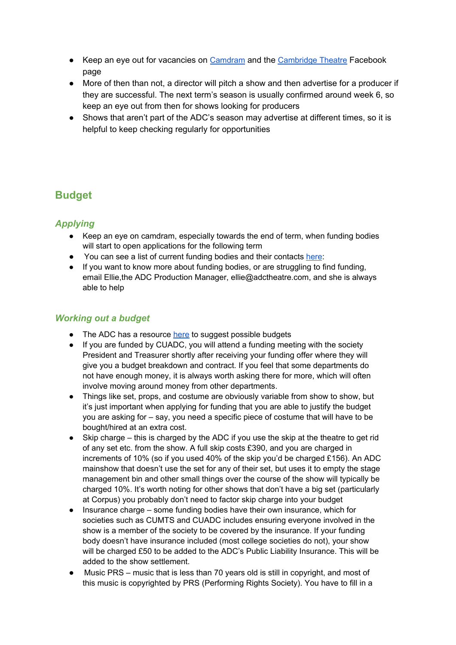- Keep an eye out for vacancies on [Camdram](https://www.camdram.net/vacancies/applications) and the [Cambridge Theatre](https://www.facebook.com/groups/5370781629%2077094/) Facebook page
- More of then than not, a director will pitch a show and then advertise for a producer if they are successful. The next term's season is usually confirmed around week 6, so keep an eye out from then for shows looking for producers
- Shows that aren't part of the ADC's season may advertise at different times, so it is helpful to keep checking regularly for opportunities

# <span id="page-1-0"></span>**Budget**

### *Applying*

- Keep an eye on camdram, especially towards the end of term, when funding bodies will start to open applications for the following term
- You can see a list of current funding bodies and their contacts [here](https://drive.google.com/open?id=1sipttGKQWTyElZql_kZICZWLe0owvEsD):
- If you want to know more about funding bodies, or are struggling to find funding, email Ellie,the ADC Production Manager, ellie@adctheatre.com, and she is always able to help

#### *Working out a budget*

- The ADC has a resource [here](https://drive.google.com/open?id=11G-Z4k9EkzF-K0EfdvSzpjdaJA6zcbKe) to suggest possible budgets
- If you are funded by CUADC, you will attend a funding meeting with the society President and Treasurer shortly after receiving your funding offer where they will give you a budget breakdown and contract. If you feel that some departments do not have enough money, it is always worth asking there for more, which will often involve moving around money from other departments.
- Things like set, props, and costume are obviously variable from show to show, but it's just important when applying for funding that you are able to justify the budget you are asking for – say, you need a specific piece of costume that will have to be bought/hired at an extra cost.
- Skip charge this is charged by the ADC if you use the skip at the theatre to get rid of any set etc. from the show. A full skip costs £390, and you are charged in increments of 10% (so if you used 40% of the skip you'd be charged £156). An ADC mainshow that doesn't use the set for any of their set, but uses it to empty the stage management bin and other small things over the course of the show will typically be charged 10%. It's worth noting for other shows that don't have a big set (particularly at Corpus) you probably don't need to factor skip charge into your budget
- Insurance charge some funding bodies have their own insurance, which for societies such as CUMTS and CUADC includes ensuring everyone involved in the show is a member of the society to be covered by the insurance. If your funding body doesn't have insurance included (most college societies do not), your show will be charged £50 to be added to the ADC's Public Liability Insurance. This will be added to the show settlement.
- Music PRS music that is less than 70 years old is still in copyright, and most of this music is copyrighted by PRS (Performing Rights Society). You have to fill in a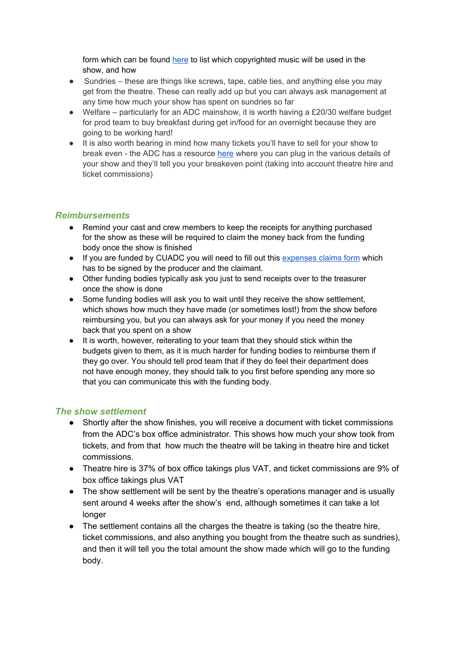form which can be found [here](https://drive.google.com/open?id=10eRH-XMQMUgD99C_YPjlDAnszm73za2s) to list which copyrighted music will be used in the show, and how

- Sundries these are things like screws, tape, cable ties, and anything else you may get from the theatre. These can really add up but you can always ask management at any time how much your show has spent on sundries so far
- Welfare particularly for an ADC mainshow, it is worth having a £20/30 welfare budget for prod team to buy breakfast during get in/food for an overnight because they are going to be working hard!
- It is also worth bearing in mind how many tickets you'll have to sell for your show to break even - the ADC has a resource [here](https://drive.google.com/open?id=1AiYLee43oasGNkF6gSS_Kaux21g5qUGg) where you can plug in the various details of your show and they'll tell you your breakeven point (taking into account theatre hire and ticket commissions)

#### *Reimbursements*

- Remind your cast and crew members to keep the receipts for anything purchased for the show as these will be required to claim the money back from the funding body once the show is finished
- If you are funded by CUADC you will need to fill out this [expenses claims form](https://drive.google.com/open?id=1IWvpAU051lCn-XqNqwCgVXt-iLYuSQ6B) which has to be signed by the producer and the claimant.
- Other funding bodies typically ask you just to send receipts over to the treasurer once the show is done
- Some funding bodies will ask you to wait until they receive the show settlement, which shows how much they have made (or sometimes lost!) from the show before reimbursing you, but you can always ask for your money if you need the money back that you spent on a show
- It is worth, however, reiterating to your team that they should stick within the budgets given to them, as it is much harder for funding bodies to reimburse them if they go over. You should tell prod team that if they do feel their department does not have enough money, they should talk to you first before spending any more so that you can communicate this with the funding body.

#### *The show settlement*

- Shortly after the show finishes, you will receive a document with ticket commissions from the ADC's box office administrator. This shows how much your show took from tickets, and from that how much the theatre will be taking in theatre hire and ticket commissions.
- Theatre hire is 37% of box office takings plus VAT, and ticket commissions are 9% of box office takings plus VAT
- The show settlement will be sent by the theatre's operations manager and is usually sent around 4 weeks after the show's end, although sometimes it can take a lot longer
- The settlement contains all the charges the theatre is taking (so the theatre hire, ticket commissions, and also anything you bought from the theatre such as sundries), and then it will tell you the total amount the show made which will go to the funding body.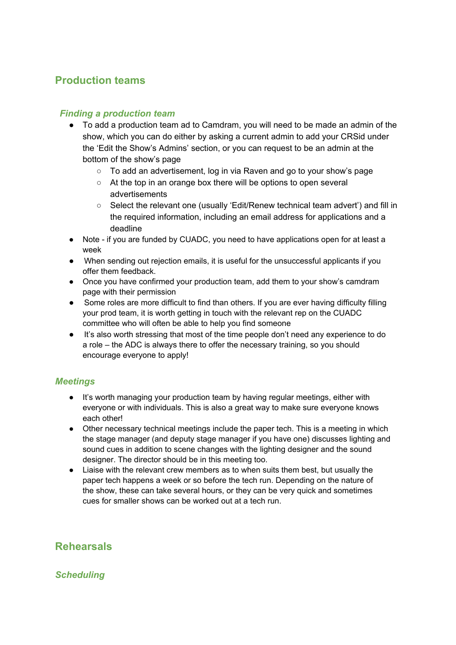# <span id="page-3-0"></span>**Production teams**

#### *Finding a production team*

- To add a production team ad to Camdram, you will need to be made an admin of the show, which you can do either by asking a current admin to add your CRSid under the 'Edit the Show's Admins' section, or you can request to be an admin at the bottom of the show's page
	- To add an advertisement, log in via Raven and go to your show's page
	- At the top in an orange box there will be options to open several advertisements
	- Select the relevant one (usually 'Edit/Renew technical team advert') and fill in the required information, including an email address for applications and a deadline
- Note if you are funded by CUADC, you need to have applications open for at least a week
- When sending out rejection emails, it is useful for the unsuccessful applicants if you offer them feedback.
- Once you have confirmed your production team, add them to your show's camdram page with their permission
- Some roles are more difficult to find than others. If you are ever having difficulty filling your prod team, it is worth getting in touch with the relevant rep on the CUADC committee who will often be able to help you find someone
- It's also worth stressing that most of the time people don't need any experience to do a role – the ADC is always there to offer the necessary training, so you should encourage everyone to apply!

#### *Meetings*

- It's worth managing your production team by having regular meetings, either with everyone or with individuals. This is also a great way to make sure everyone knows each other!
- Other necessary technical meetings include the paper tech. This is a meeting in which the stage manager (and deputy stage manager if you have one) discusses lighting and sound cues in addition to scene changes with the lighting designer and the sound designer. The director should be in this meeting too.
- Liaise with the relevant crew members as to when suits them best, but usually the paper tech happens a week or so before the tech run. Depending on the nature of the show, these can take several hours, or they can be very quick and sometimes cues for smaller shows can be worked out at a tech run.

# <span id="page-3-1"></span>**Rehearsals**

*Scheduling*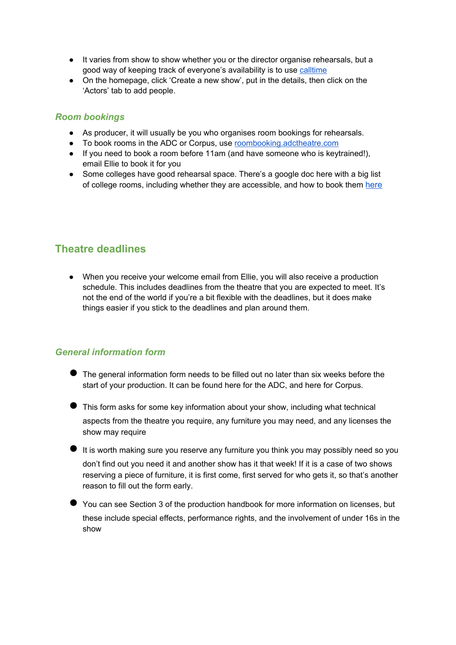- It varies from show to show whether you or the director organise rehearsals, but a good way of keeping track of everyone's availability is to use [calltime](http://calltime.online/)
- On the homepage, click 'Create a new show', put in the details, then click on the 'Actors' tab to add people.

#### *Room bookings*

- As producer, it will usually be you who organises room bookings for rehearsals.
- To book rooms in the ADC or Corpus, use [roombooking.adctheatre.com](https://roombooking.adctheatre.com/)
- If you need to book a room before 11am (and have someone who is keytrained!), email Ellie to book it for you
- Some colleges have good rehearsal space. There's a google doc here with a big list of college rooms, including whether they are accessible, and how to book them [here](https://drive.google.com/open?id=1-UFuykn1f8AfPpXnIA6qOTzszDGi5IVA)

# <span id="page-4-0"></span>**Theatre deadlines**

● When you receive your welcome email from Ellie, you will also receive a production schedule. This includes deadlines from the theatre that you are expected to meet. It's not the end of the world if you're a bit flexible with the deadlines, but it does make things easier if you stick to the deadlines and plan around them.

#### *General information form*

- The general information form needs to be filled out no later than six weeks before the start of your production. It can be found [here](http://www.adctheatre.com/generalinformationform) for the ADC, and [here](http://www.adctheatre.com/playroomgeneralinformationform) for Corpus.
- This form asks for some key information about your show, including what technical aspects from the theatre you require, any furniture you may need, and any licenses the show may require
- It is worth making sure you reserve any furniture you think you may possibly need so you don't find out you need it and another show has it that week! If it is a case of two shows reserving a piece of furniture, it is first come, first served for who gets it, so that's another reason to fill out the form early.
- You can see Section 3 of the production handbook for more information on licenses, but these include special effects, performance rights, and the involvement of under 16s in the show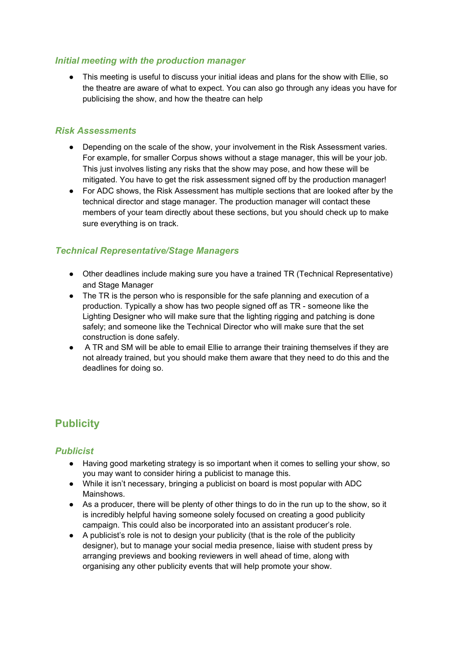#### *Initial meeting with the production manager*

● This meeting is useful to discuss your initial ideas and plans for the show with Ellie, so the theatre are aware of what to expect. You can also go through any ideas you have for publicising the show, and how the theatre can help

#### *Risk Assessments*

- Depending on the scale of the show, your involvement in the Risk Assessment varies. For example, for smaller Corpus shows without a stage manager, this will be your job. This just involves listing any risks that the show may pose, and how these will be mitigated. You have to get the risk assessment signed off by the production manager!
- For ADC shows, the Risk Assessment has multiple sections that are looked after by the technical director and stage manager. The production manager will contact these members of your team directly about these sections, but you should check up to make sure everything is on track.

#### *Technical Representative/Stage Managers*

- Other deadlines include making sure you have a trained TR (Technical Representative) and Stage Manager
- The TR is the person who is responsible for the safe planning and execution of a production. Typically a show has two people signed off as TR - someone like the Lighting Designer who will make sure that the lighting rigging and patching is done safely; and someone like the Technical Director who will make sure that the set construction is done safely.
- A TR and SM will be able to email Ellie to arrange their training themselves if they are not already trained, but you should make them aware that they need to do this and the deadlines for doing so.

# <span id="page-5-0"></span>**Publicity**

#### *Publicist*

- Having good marketing strategy is so important when it comes to selling your show, so you may want to consider hiring a publicist to manage this.
- While it isn't necessary, bringing a publicist on board is most popular with ADC Mainshows.
- As a producer, there will be plenty of other things to do in the run up to the show, so it is incredibly helpful having someone solely focused on creating a good publicity campaign. This could also be incorporated into an assistant producer's role.
- A publicist's role is not to design your publicity (that is the role of the publicity designer), but to manage your social media presence, liaise with student press by arranging previews and booking reviewers in well ahead of time, along with organising any other publicity events that will help promote your show.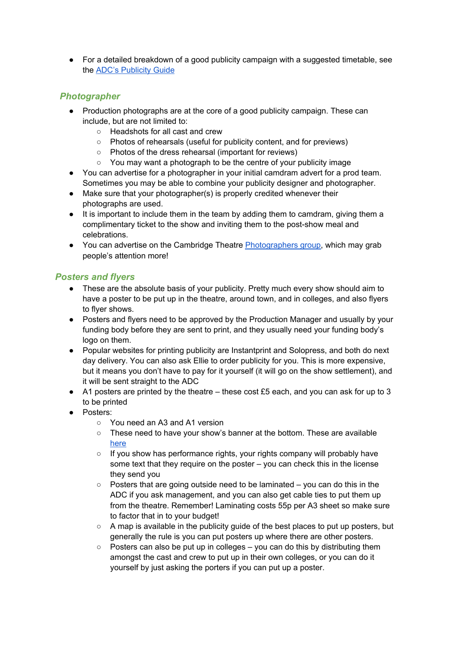• For a detailed breakdown of a good publicity campaign with a suggested timetable, see the [ADC's Publicity Guide](https://drive.google.com/open?id=1vuhDTAjUPE6CiwImrMiTXzpXJi5a6oDL)

#### *Photographer*

- Production photographs are at the core of a good publicity campaign. These can include, but are not limited to:
	- Headshots for all cast and crew
	- Photos of rehearsals (useful for publicity content, and for previews)
	- Photos of the dress rehearsal (important for reviews)
	- You may want a photograph to be the centre of your publicity image
- You can advertise for a photographer in your initial camdram advert for a prod team. Sometimes you may be able to combine your publicity designer and photographer.
- Make sure that your photographer(s) is properly credited whenever their photographs are used.
- It is important to include them in the team by adding them to camdram, giving them a complimentary ticket to the show and inviting them to the post-show meal and celebrations.
- You can advertise on the Cambridge Theatre [Photographers group,](https://www.facebook.com/groups/122637788141948/) which may grab people's attention more!

#### *Posters and flyers*

- These are the absolute basis of your publicity. Pretty much every show should aim to have a poster to be put up in the theatre, around town, and in colleges, and also flyers to flyer shows.
- Posters and flyers need to be approved by the Production Manager and usually by your funding body before they are sent to print, and they usually need your funding body's logo on them.
- Popular websites for printing publicity are [Instantprint](https://www.instantprint.co.uk/) an[d Solopress,](https://www.solopress.com/) and both do next day delivery. You can also ask Ellie to order publicity for you. This is more expensive, but it means you don't have to pay for it yourself (it will go on the show settlement), and it will be sent straight to the ADC
- A1 posters are printed by the theatre these cost £5 each, and you can ask for up to 3 to be printed
- Posters:
	- You need an A3 and A1 version
	- These need to have your show's banner at the bottom. These are available [here](https://www.adctheatre.com/productionresources)
	- If you show has performance rights, your rights company will probably have some text that they require on the poster – you can check this in the license they send you
	- Posters that are going outside need to be laminated you can do this in the ADC if you ask management, and you can also get cable ties to put them up from the theatre. Remember! Laminating costs 55p per A3 sheet so make sure to factor that in to your budget!
	- $\circ$  A map is available in the publicity guide of the best places to put up posters, but generally the rule is you can put posters up where there are other posters.
	- Posters can also be put up in colleges you can do this by distributing them amongst the cast and crew to put up in their own colleges, or you can do it yourself by just asking the porters if you can put up a poster.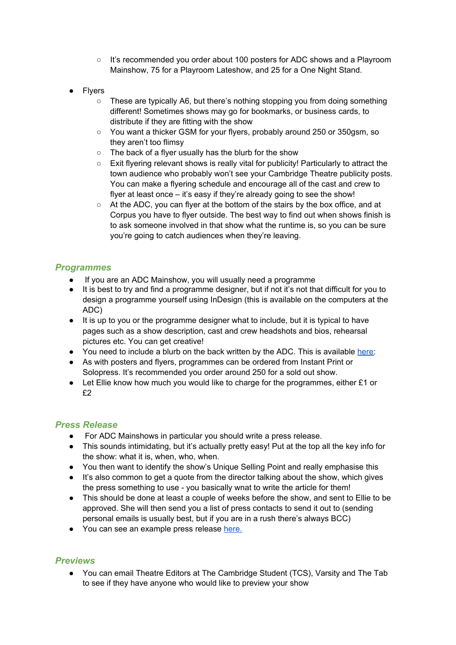- It's recommended you order about 100 posters for ADC shows and a Playroom Mainshow, 75 for a Playroom Lateshow, and 25 for a One Night Stand.
- **Flyers** 
	- These are typically A6, but there's nothing stopping you from doing something different! Sometimes shows may go for bookmarks, or business cards, to distribute if they are fitting with the show
	- You want a thicker GSM for your flyers, probably around 250 or 350gsm, so they aren't too flimsy
	- The back of a flyer usually has the blurb for the show
	- Exit flyering relevant shows is really vital for publicity! Particularly to attract the town audience who probably won't see your Cambridge Theatre publicity posts. You can make a flyering schedule and encourage all of the cast and crew to flyer at least once – it's easy if they're already going to see the show!
	- At the ADC, you can flyer at the bottom of the stairs by the box office, and at Corpus you have to flyer outside. The best way to find out when shows finish is to ask someone involved in that show what the runtime is, so you can be sure you're going to catch audiences when they're leaving.

#### *Programmes*

- If you are an ADC Mainshow, you will usually need a programme
- It is best to try and find a programme designer, but if not it's not that difficult for you to design a programme yourself using InDesign (this is available on the computers at the ADC)
- It is up to you or the programme designer what to include, but it is typical to have pages such as a show description, cast and crew headshots and bios, rehearsal pictures etc. You can get creative!
- You need to include a blurb on the back written by the ADC. This is available [here:](https://www.adctheatre.com/media/3024/adc-programme-info.pdf)
- As with posters and flyers, programmes can be ordered from Instant Print or Solopress. It's recommended you order around 250 for a sold out show.
- $\bullet$  Let Ellie know how much you would like to charge for the programmes, either £1 or £2

#### *Press Release*

- For ADC Mainshows in particular you should write a press release.
- This sounds intimidating, but it's actually pretty easy! Put at the top all the key info for the show: what it is, when, who, when.
- You then want to identify the show's Unique Selling Point and really emphasise this
- It's also common to get a quote from the director talking about the show, which gives the press something to use - you basically wnat to write the article for them!
- This should be done at least a couple of weeks before the show, and sent to Ellie to be approved. She will then send you a list of press contacts to send it out to (sending personal emails is usually best, but if you are in a rush there's always BCC)
- You can see an example press release [here.](https://drive.google.com/open?id=1_M0557n4tL9aWwA0bDocFJe8vsla-4al)

#### *Previews*

● You can email Theatre Editors at The Cambridge Student (TCS), Varsity and The Tab to see if they have anyone who would like to preview your show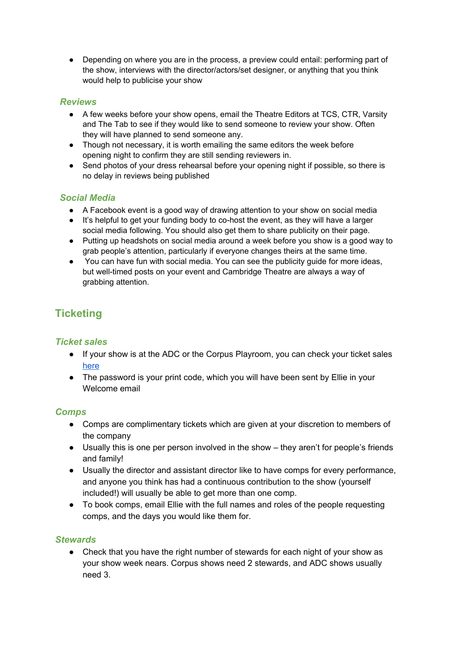● Depending on where you are in the process, a preview could entail: performing part of the show, interviews with the director/actors/set designer, or anything that you think would help to publicise your show

#### *Reviews*

- A few weeks before your show opens, email the Theatre Editors at TCS, CTR, Varsity and The Tab to see if they would like to send someone to review your show. Often they will have planned to send someone any.
- Though not necessary, it is worth emailing the same editors the week before opening night to confirm they are still sending reviewers in.
- Send photos of your dress rehearsal before your opening night if possible, so there is no delay in reviews being published

#### *Social Media*

- A Facebook event is a good way of drawing attention to your show on social media
- It's helpful to get your funding body to co-host the event, as they will have a larger social media following. You should also get them to share publicity on their page.
- Putting up headshots on social media around a week before you show is a good way to grab people's attention, particularly if everyone changes theirs at the same time.
- You can have fun with social media. You can see the publicity quide for more ideas, but well-timed posts on your event and Cambridge Theatre are always a way of grabbing attention.

# <span id="page-8-0"></span>**Ticketing**

#### *Ticket sales*

- If your show is at the ADC or the Corpus Playroom, you can check your ticket sales [here](http://ticketsales.adctheatre.com/)
- The password is your print code, which you will have been sent by Ellie in your Welcome email

#### *Comps*

- Comps are complimentary tickets which are given at your discretion to members of the company
- Usually this is one per person involved in the show they aren't for people's friends and family!
- Usually the director and assistant director like to have comps for every performance, and anyone you think has had a continuous contribution to the show (yourself included!) will usually be able to get more than one comp.
- To book comps, email Ellie with the full names and roles of the people requesting comps, and the days you would like them for.

#### *Stewards*

Check that you have the right number of stewards for each night of your show as your show week nears. Corpus shows need 2 stewards, and ADC shows usually need 3.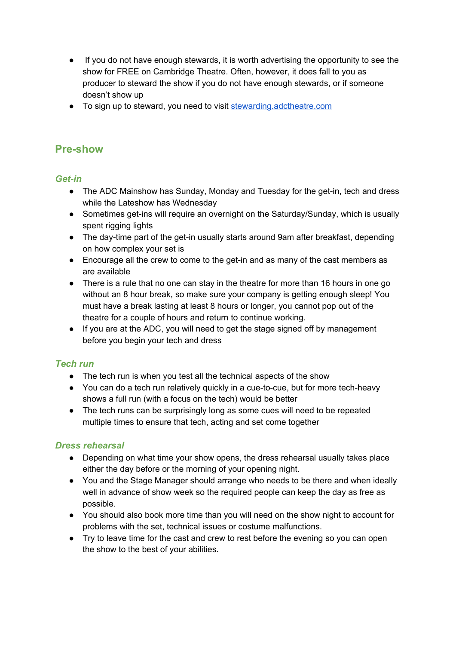- If you do not have enough stewards, it is worth advertising the opportunity to see the show for FREE on Cambridge Theatre. Often, however, it does fall to you as producer to steward the show if you do not have enough stewards, or if someone doesn't show up
- To sign up to steward, you need to visit [stewarding.adctheatre.com](https://drive.google.com/open?id=1_M0557n4tL9aWwA0bDocFJe8vsla-4al)

### <span id="page-9-0"></span>**Pre-show**

#### *Get-in*

- The ADC Mainshow has Sunday, Monday and Tuesday for the get-in, tech and dress while the Lateshow has Wednesday
- Sometimes get-ins will require an overnight on the Saturday/Sunday, which is usually spent rigging lights
- The day-time part of the get-in usually starts around 9am after breakfast, depending on how complex your set is
- Encourage all the crew to come to the get-in and as many of the cast members as are available
- There is a rule that no one can stay in the theatre for more than 16 hours in one go without an 8 hour break, so make sure your company is getting enough sleep! You must have a break lasting at least 8 hours or longer, you cannot pop out of the theatre for a couple of hours and return to continue working.
- If you are at the ADC, you will need to get the stage signed off by management before you begin your tech and dress

#### *Tech run*

- The tech run is when you test all the technical aspects of the show
- You can do a tech run relatively quickly in a cue-to-cue, but for more tech-heavy shows a full run (with a focus on the tech) would be better
- The tech runs can be surprisingly long as some cues will need to be repeated multiple times to ensure that tech, acting and set come together

#### *Dress rehearsal*

- Depending on what time your show opens, the dress rehearsal usually takes place either the day before or the morning of your opening night.
- You and the Stage Manager should arrange who needs to be there and when ideally well in advance of show week so the required people can keep the day as free as possible.
- You should also book more time than you will need on the show night to account for problems with the set, technical issues or costume malfunctions.
- Try to leave time for the cast and crew to rest before the evening so you can open the show to the best of your abilities.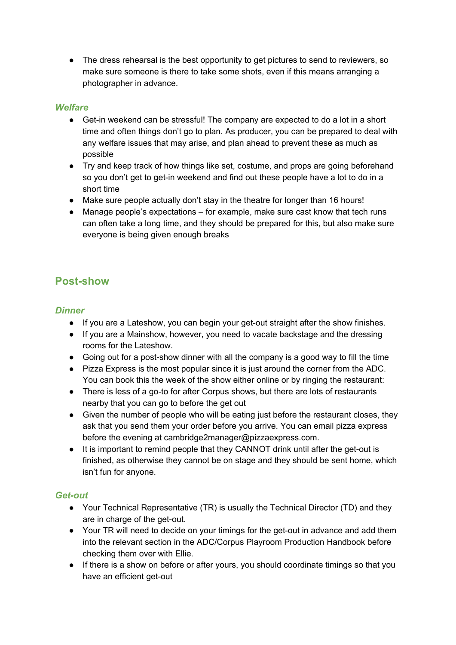• The dress rehearsal is the best opportunity to get pictures to send to reviewers, so make sure someone is there to take some shots, even if this means arranging a photographer in advance.

#### *Welfare*

- Get-in weekend can be stressful! The company are expected to do a lot in a short time and often things don't go to plan. As producer, you can be prepared to deal with any welfare issues that may arise, and plan ahead to prevent these as much as possible
- Try and keep track of how things like set, costume, and props are going beforehand so you don't get to get-in weekend and find out these people have a lot to do in a short time
- Make sure people actually don't stay in the theatre for longer than 16 hours!
- Manage people's expectations for example, make sure cast know that tech runs can often take a long time, and they should be prepared for this, but also make sure everyone is being given enough breaks

# <span id="page-10-0"></span>**Post-show**

#### *Dinner*

- If you are a Lateshow, you can begin your get-out straight after the show finishes.
- If you are a Mainshow, however, you need to vacate backstage and the dressing rooms for the Lateshow.
- Going out for a post-show dinner with all the company is a good way to fill the time
- Pizza Express is the most popular since it is just around the corner from the ADC. You can book this the week of the show either online or by ringing the restaurant:
- There is less of a go-to for after Corpus shows, but there are lots of restaurants nearby that you can go to before the get out
- Given the number of people who will be eating just before the restaurant closes, they ask that you send them your order before you arrive. You can email pizza express before the evening at cambridge2manager@pizzaexpress.com.
- It is important to remind people that they CANNOT drink until after the get-out is finished, as otherwise they cannot be on stage and they should be sent home, which isn't fun for anyone.

#### *Get-out*

- Your Technical Representative (TR) is usually the Technical Director (TD) and they are in charge of the get-out.
- Your TR will need to decide on your timings for the get-out in advance and add them into the relevant section in the ADC/Corpus Playroom Production Handbook before checking them over with Ellie.
- If there is a show on before or after yours, you should coordinate timings so that you have an efficient get-out